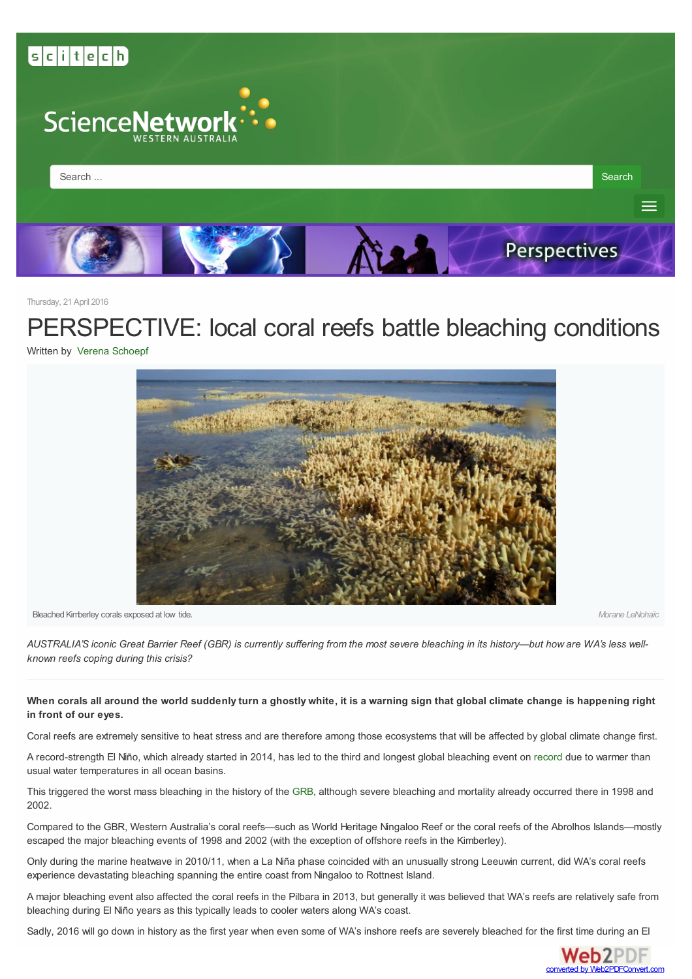<span id="page-0-0"></span>

Thursday, 21 April 2016

PERSPECTIVE: local coral reefs battle bleaching conditions

Written by Verena [Schoepf](http://www.sciencewa.net.au/topics/perspectives/itemlist/user/13035-verenaschoepf)



Bleached Kimberley corals exposed at low tide. *Morane LeNohaïc*

AUSTRALIA'S iconic Great Barrier Reef (GBR) is currently suffering from the most severe bleaching in its history-but how are WA's less well*known reefs coping during this crisis?*

#### When corals all around the world suddenly turn a ghostly white, it is a warning sign that global climate change is happening right **in front of our eyes.**

Coral reefs are extremely sensitive to heat stress and are therefore among those ecosystems that will be affected by global climate change first.

A record-strength El Niño, which already started in 2014, has led to the third and longest global bleaching event on [record](http://www.noaa.gov/el-ni%C3%B1o-prolongs-longest-global-coral-bleaching-event) due to warmer than usual water temperatures in all ocean basins.

This triggered the worst mass bleaching in the history of the [GRB](http://www.coralcoe.org.au/media-releases/coral-bleaching-taskforce-documents-most-severe-bleaching-on-record ), although severe bleaching and mortality already occurred there in 1998 and 2002.

Compared to the GBR, Western Australia's coral reefs—such as World Heritage Ningaloo Reef or the coral reefs of the Abrolhos Islands—mostly escaped the major bleaching events of 1998 and 2002 (with the exception of offshore reefs in the Kimberley).

Only during the marine heatwave in 2010/11, when a La Niña phase coincided with an unusually strong Leeuwin current, did WA's coral reefs experience devastating bleaching spanning the entire coast from Ningaloo to Rottnest Island.

A major bleaching event also affected the coral reefs in the Pilbara in 2013, but generally it was believed that WA's reefs are relatively safe from bleaching during El Niño years as this typically leads to cooler waters along WA's coast.

Sadly, 2016 will go down in history as the first year when even some of WA's inshore reefs are severely bleached for the first time [during](http://www.web2pdfconvert.com?ref=PDF) an El

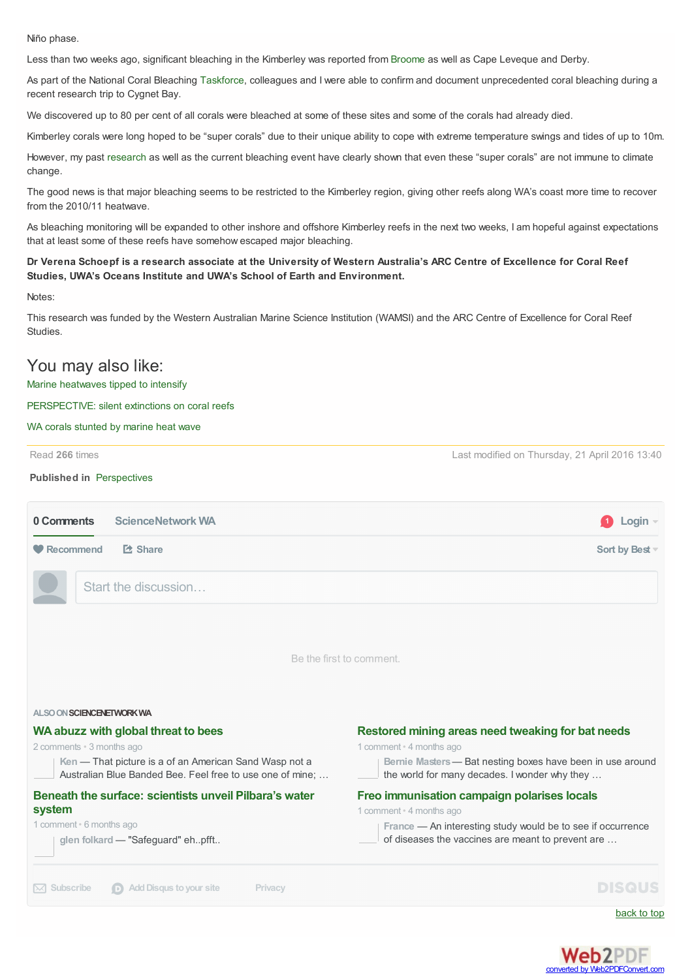Niño phase.

Less than two weeks ago, significant bleaching in the Kimberley was reported from [Broome](http://mobile.abc.net.au/news/2016-04-11/first-coral-bleaching-found-on-wa-kimberley-coast/7315960 ) as well as Cape Leveque and Derby.

As part of the National Coral Bleaching [Taskforce](http://www.coralcoe.org.au/media-releases/national-coral-bleaching-taskforce-keeping-a-close-watch-on-the-reef ), colleagues and I were able to confirm and document unprecedented coral bleaching during a recent research trip to Cygnet Bay.

We discovered up to 80 per cent of all corals were bleached at some of these sites and some of the corals had already died.

Kimberley corals were long hoped to be "super corals" due to their unique ability to cope with extreme temperature swings and tides of up to 10m.

However, my past [research](https://theconversation.com/even-the-super-corals-of-australias-kimberley-are-not-immune-to-climate-change-51484 ) as well as the current bleaching event have clearly shown that even these "super corals" are not immune to climate change.

The good news is that major bleaching seems to be restricted to the Kimberley region, giving other reefs along WA's coast more time to recover from the 2010/11 heatwave.

As bleaching monitoring will be expanded to other inshore and offshore Kimberley reefs in the next two weeks, I am hopeful against expectations that at least some of these reefs have somehow escaped major bleaching.

#### Dr Verena Schoepf is a research associate at the University of Western Australia's ARC Centre of Excellence for Coral Reef **Studies, UWA's Oceans Institute and UWA's School of Earth and Environment.**

Notes:

This research was funded by the Western Australian Marine Science Institution (WAMSI) and the ARC Centre of Excellence for Coral Reef Studies.

## You may also like:

#### Marine [heatwaves](http://www.sciencewa.net.au/topics/fisheries-a-water/item/3990-marine-heatwaves-tipped-to-intensify) tipped to intensify

#### [PERSPECTIVE:](http://www.sciencewa.net.au/topics/perspectives/item/3626-perspective-silent-extinctions-on-coral-reefs) silent extinctions on coral reefs

WA corals [stunted](http://www.sciencewa.net.au/topics/fisheries-a-water/item/3081-wa-corals-stunted-by-marine-heat-wave) by marine heat wave

Read **266** times

Last modified on Thursday, 21 April 2016 13:40

#### **Published in** [Perspectives](http://www.sciencewa.net.au/topics/perspectives)

| <b>ScienceNetwork WA</b><br>0 Comments                                                                              | Login                                                                                                       |
|---------------------------------------------------------------------------------------------------------------------|-------------------------------------------------------------------------------------------------------------|
| <b>E</b> Share<br>Recommend                                                                                         | Sort by Best                                                                                                |
| Start the discussion                                                                                                |                                                                                                             |
|                                                                                                                     |                                                                                                             |
|                                                                                                                     | Be the first to comment.                                                                                    |
|                                                                                                                     |                                                                                                             |
| ALSO ON SCIENCENETWORK WA                                                                                           |                                                                                                             |
| WA abuzz with global threat to bees                                                                                 | Restored mining areas need tweaking for bat needs                                                           |
| 2 comments · 3 months ago                                                                                           | 1 comment · 4 months ago                                                                                    |
| Ken - That picture is a of an American Sand Wasp not a<br>Australian Blue Banded Bee. Feel free to use one of mine; | Bernie Masters - Bat nesting boxes have been in use around<br>the world for many decades. I wonder why they |
| Beneath the surface: scientists unveil Pilbara's water                                                              | Freo immunisation campaign polarises locals                                                                 |
| system                                                                                                              | 1 comment • 4 months ago                                                                                    |
| 1 comment · 6 months ago                                                                                            | France - An interesting study would be to see if occurrence                                                 |
| glen folkard - "Safeguard" ehpfft                                                                                   | of diseases the vaccines are meant to prevent are                                                           |
| <b>Add Disqus to your site</b><br>Subscribe<br>Privacy<br>$\bowtie$<br>$\Box$                                       | <b>DISCUS</b>                                                                                               |
|                                                                                                                     | back to top                                                                                                 |

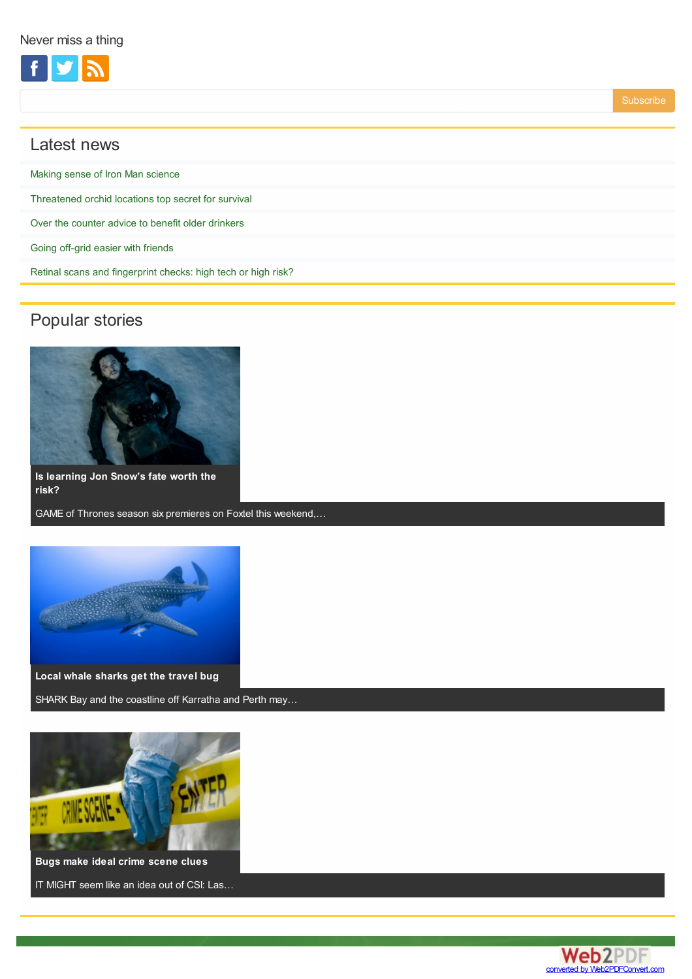

# Latest news

| Making sense of Iron Man science                              |
|---------------------------------------------------------------|
| Threatened orchid locations top secret for survival           |
| Over the counter advice to benefit older drinkers             |
| Going off-grid easier with friends                            |
| Retinal scans and fingerprint checks: high tech or high risk? |
|                                                               |

# Popular stories



**Is [learning](http://www.sciencewa.net.au/topics/technology-a-innovation/item/4140-is-learning-jon-snow-s-fate-worth-the-risk) Jon Snow's fate worth the risk?**

GAME of Thrones season six premieres on Foxtel this weekend,…



SHARK Bay and the coastline off Karratha and Perth may…



**Bugs make ideal crime [scene](http://www.sciencewa.net.au/topics/technology-a-innovation/item/4107-bugs-make-ideal-crime-scene-clues) clues**

IT MIGHT seem like an idea out of CSI: Las…